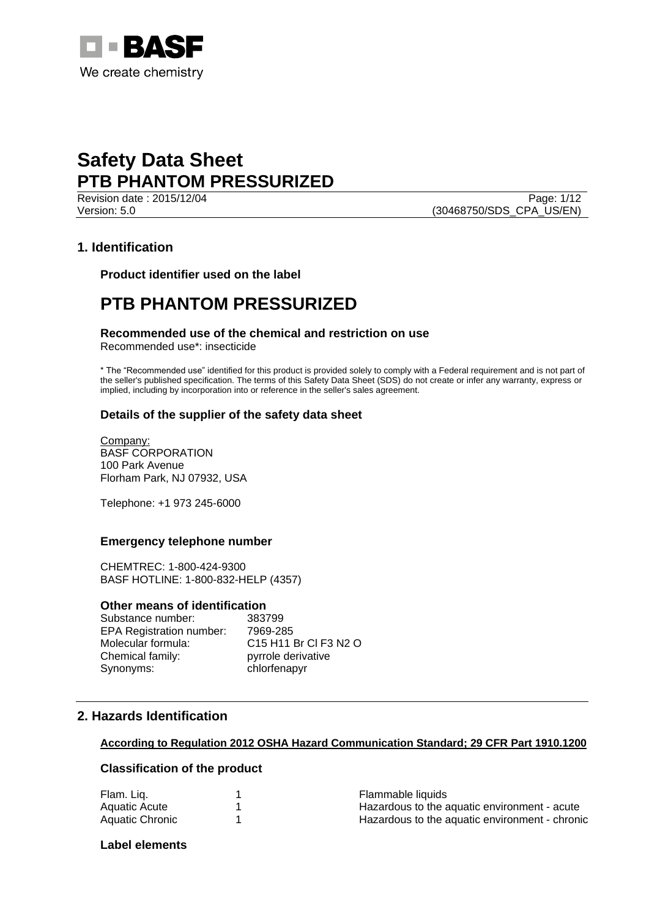

**Revision date : 2015/12/04** Page: 1/12 Version: 5.0 (30468750/SDS\_CPA\_US/EN)

# **1. Identification**

**Product identifier used on the label**

# **PTB PHANTOM PRESSURIZED**

# **Recommended use of the chemical and restriction on use**

Recommended use\*: insecticide

\* The "Recommended use" identified for this product is provided solely to comply with a Federal requirement and is not part of the seller's published specification. The terms of this Safety Data Sheet (SDS) do not create or infer any warranty, express or implied, including by incorporation into or reference in the seller's sales agreement.

## **Details of the supplier of the safety data sheet**

Company: BASF CORPORATION 100 Park Avenue Florham Park, NJ 07932, USA

Telephone: +1 973 245-6000

## **Emergency telephone number**

CHEMTREC: 1-800-424-9300 BASF HOTLINE: 1-800-832-HELP (4357)

#### **Other means of identification**

Substance number: 383799 EPA Registration number: 7969-285 Molecular formula: C15 H11 Br Cl F3 N2 O Chemical family: pyrrole derivative Synonyms: chlorfenapyr

# **2. Hazards Identification**

#### **According to Regulation 2012 OSHA Hazard Communication Standard; 29 CFR Part 1910.1200**

# **Classification of the product**

| Flam. Liq.      | Flammable liquids                              |
|-----------------|------------------------------------------------|
| Aquatic Acute   | Hazardous to the aquatic environment - acute   |
| Aquatic Chronic | Hazardous to the aquatic environment - chronic |

**Label elements**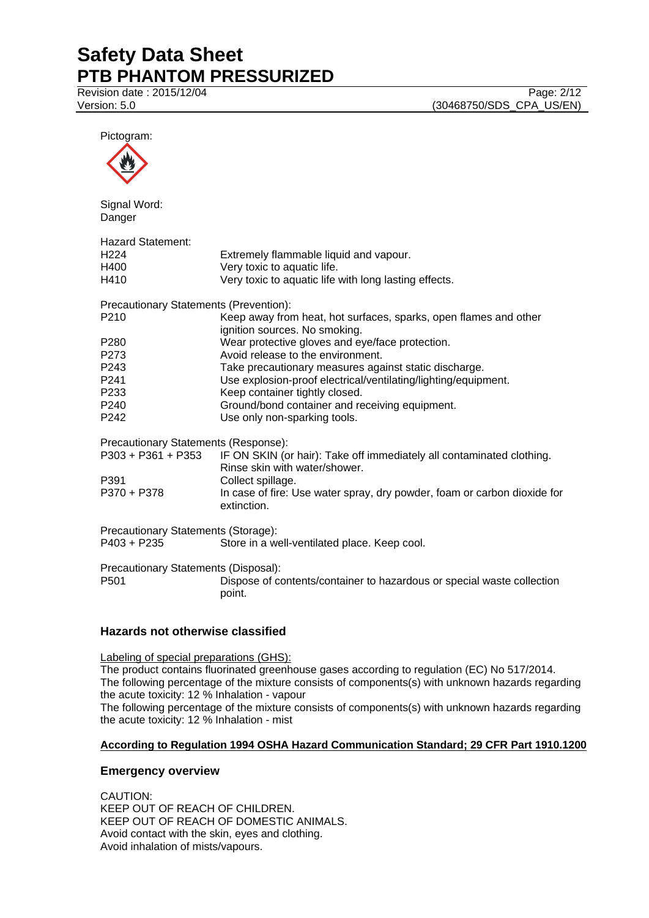Revision date : 2015/12/04 Page: 2/12

Pictogram:



Signal Word: Danger

| <b>Hazard Statement:</b>                      |                                                                                                                           |
|-----------------------------------------------|---------------------------------------------------------------------------------------------------------------------------|
| H <sub>224</sub>                              | Extremely flammable liquid and vapour.                                                                                    |
| H400                                          | Very toxic to aquatic life.                                                                                               |
| H410                                          | Very toxic to aquatic life with long lasting effects.                                                                     |
| <b>Precautionary Statements (Prevention):</b> |                                                                                                                           |
| P210                                          | Keep away from heat, hot surfaces, sparks, open flames and other<br>ignition sources. No smoking.                         |
| P280                                          | Wear protective gloves and eye/face protection.                                                                           |
| P273                                          | Avoid release to the environment.                                                                                         |
| P243                                          | Take precautionary measures against static discharge.                                                                     |
| P241                                          | Use explosion-proof electrical/ventilating/lighting/equipment.                                                            |
| P233                                          | Keep container tightly closed.                                                                                            |
| P240                                          | Ground/bond container and receiving equipment.                                                                            |
| P242                                          | Use only non-sparking tools.                                                                                              |
| Precautionary Statements (Response):          |                                                                                                                           |
|                                               | P303 + P361 + P353 IF ON SKIN (or hair): Take off immediately all contaminated clothing.<br>Rinse skin with water/shower. |
| P391                                          | Collect spillage.                                                                                                         |
| P370 + P378                                   | In case of fire: Use water spray, dry powder, foam or carbon dioxide for<br>extinction.                                   |
| Precautionary Statements (Storage):           |                                                                                                                           |
| P403 + P235                                   | Store in a well-ventilated place. Keep cool.                                                                              |
| Precautionary Statements (Disposal):          |                                                                                                                           |
| P501                                          | Dispose of contents/container to hazardous or special waste collection<br>point.                                          |

# **Hazards not otherwise classified**

Labeling of special preparations (GHS): The product contains fluorinated greenhouse gases according to regulation (EC) No 517/2014. The following percentage of the mixture consists of components(s) with unknown hazards regarding the acute toxicity: 12 % Inhalation - vapour The following percentage of the mixture consists of components(s) with unknown hazards regarding the acute toxicity: 12 % Inhalation - mist

## **According to Regulation 1994 OSHA Hazard Communication Standard; 29 CFR Part 1910.1200**

## **Emergency overview**

CAUTION: KEEP OUT OF REACH OF CHILDREN. KEEP OUT OF REACH OF DOMESTIC ANIMALS. Avoid contact with the skin, eyes and clothing. Avoid inhalation of mists/vapours.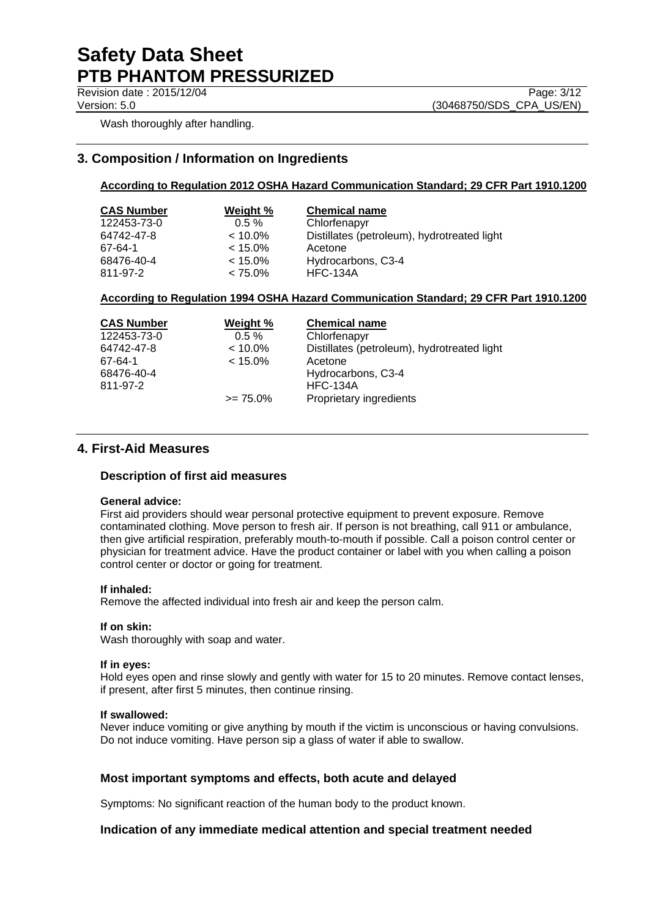Wash thoroughly after handling.

# **3. Composition / Information on Ingredients**

### **According to Regulation 2012 OSHA Hazard Communication Standard; 29 CFR Part 1910.1200**

| <b>CAS Number</b> | Weight %   | <b>Chemical name</b>                        |
|-------------------|------------|---------------------------------------------|
| 122453-73-0       | $0.5 \%$   | Chlorfenapyr                                |
| 64742-47-8        | $< 10.0\%$ | Distillates (petroleum), hydrotreated light |
| 67-64-1           | $< 15.0\%$ | Acetone                                     |
| 68476-40-4        | $< 15.0\%$ | Hydrocarbons, C3-4                          |
| 811-97-2          | $< 75.0\%$ | <b>HFC-134A</b>                             |
|                   |            |                                             |

#### **According to Regulation 1994 OSHA Hazard Communication Standard; 29 CFR Part 1910.1200**

| <b>CAS Number</b> | <b>Weight %</b> | <b>Chemical name</b>                        |
|-------------------|-----------------|---------------------------------------------|
| 122453-73-0       | $0.5 \%$        | Chlorfenapyr                                |
| 64742-47-8        | $< 10.0\%$      | Distillates (petroleum), hydrotreated light |
| 67-64-1           | $< 15.0\%$      | Acetone                                     |
| 68476-40-4        |                 | Hydrocarbons, C3-4                          |
| 811-97-2          |                 | <b>HFC-134A</b>                             |
|                   | $\ge$ 75.0%     | Proprietary ingredients                     |

# **4. First-Aid Measures**

#### **Description of first aid measures**

#### **General advice:**

First aid providers should wear personal protective equipment to prevent exposure. Remove contaminated clothing. Move person to fresh air. If person is not breathing, call 911 or ambulance, then give artificial respiration, preferably mouth-to-mouth if possible. Call a poison control center or physician for treatment advice. Have the product container or label with you when calling a poison control center or doctor or going for treatment.

#### **If inhaled:**

Remove the affected individual into fresh air and keep the person calm.

#### **If on skin:**

Wash thoroughly with soap and water.

#### **If in eyes:**

Hold eyes open and rinse slowly and gently with water for 15 to 20 minutes. Remove contact lenses, if present, after first 5 minutes, then continue rinsing.

#### **If swallowed:**

Never induce vomiting or give anything by mouth if the victim is unconscious or having convulsions. Do not induce vomiting. Have person sip a glass of water if able to swallow.

## **Most important symptoms and effects, both acute and delayed**

Symptoms: No significant reaction of the human body to the product known.

## **Indication of any immediate medical attention and special treatment needed**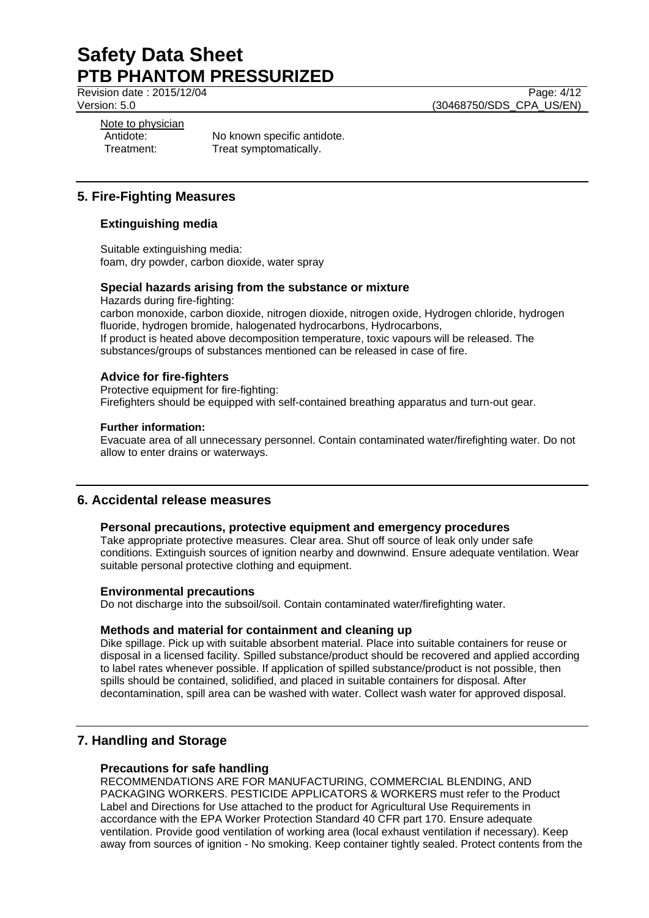Revision date : 2015/12/04 Page: 4/12

Version: 5.0 (30468750/SDS\_CPA\_US/EN)

Note to physician

Antidote: No known specific antidote. Treatment: Treat symptomatically.

# **5. Fire-Fighting Measures**

# **Extinguishing media**

Suitable extinguishing media: foam, dry powder, carbon dioxide, water spray

## **Special hazards arising from the substance or mixture**

Hazards during fire-fighting: carbon monoxide, carbon dioxide, nitrogen dioxide, nitrogen oxide, Hydrogen chloride, hydrogen fluoride, hydrogen bromide, halogenated hydrocarbons, Hydrocarbons, If product is heated above decomposition temperature, toxic vapours will be released. The substances/groups of substances mentioned can be released in case of fire.

## **Advice for fire-fighters**

Protective equipment for fire-fighting: Firefighters should be equipped with self-contained breathing apparatus and turn-out gear.

### **Further information:**

Evacuate area of all unnecessary personnel. Contain contaminated water/firefighting water. Do not allow to enter drains or waterways.

## **6. Accidental release measures**

#### **Personal precautions, protective equipment and emergency procedures**

Take appropriate protective measures. Clear area. Shut off source of leak only under safe conditions. Extinguish sources of ignition nearby and downwind. Ensure adequate ventilation. Wear suitable personal protective clothing and equipment.

#### **Environmental precautions**

Do not discharge into the subsoil/soil. Contain contaminated water/firefighting water.

## **Methods and material for containment and cleaning up**

Dike spillage. Pick up with suitable absorbent material. Place into suitable containers for reuse or disposal in a licensed facility. Spilled substance/product should be recovered and applied according to label rates whenever possible. If application of spilled substance/product is not possible, then spills should be contained, solidified, and placed in suitable containers for disposal. After decontamination, spill area can be washed with water. Collect wash water for approved disposal.

# **7. Handling and Storage**

# **Precautions for safe handling**

RECOMMENDATIONS ARE FOR MANUFACTURING, COMMERCIAL BLENDING, AND PACKAGING WORKERS. PESTICIDE APPLICATORS & WORKERS must refer to the Product Label and Directions for Use attached to the product for Agricultural Use Requirements in accordance with the EPA Worker Protection Standard 40 CFR part 170. Ensure adequate ventilation. Provide good ventilation of working area (local exhaust ventilation if necessary). Keep away from sources of ignition - No smoking. Keep container tightly sealed. Protect contents from the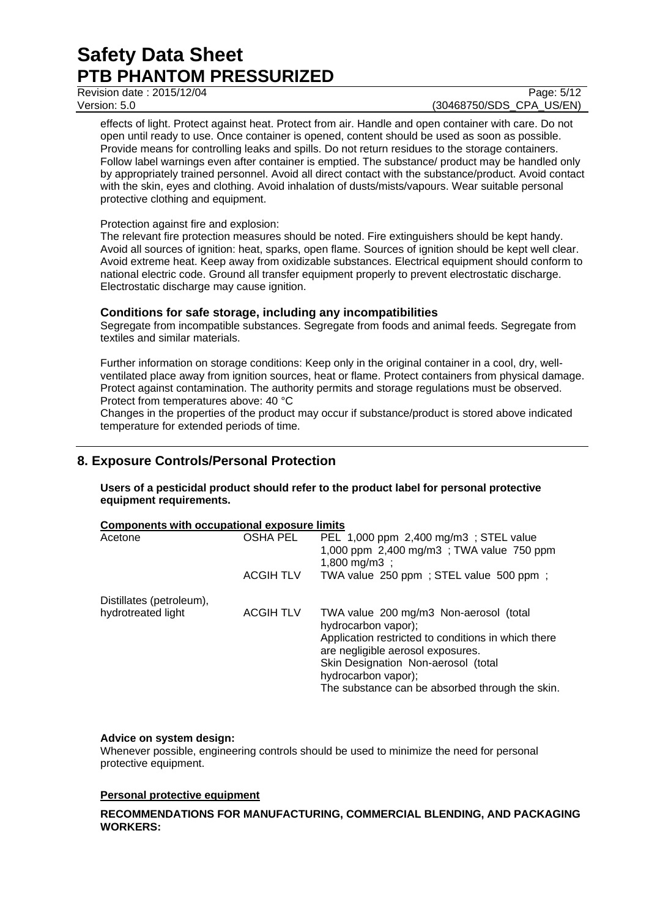Revision date : 2015/12/04 Page: 5/12

# Version: 5.0 (30468750/SDS\_CPA\_US/EN)

effects of light. Protect against heat. Protect from air. Handle and open container with care. Do not open until ready to use. Once container is opened, content should be used as soon as possible. Provide means for controlling leaks and spills. Do not return residues to the storage containers. Follow label warnings even after container is emptied. The substance/ product may be handled only by appropriately trained personnel. Avoid all direct contact with the substance/product. Avoid contact with the skin, eyes and clothing. Avoid inhalation of dusts/mists/vapours. Wear suitable personal protective clothing and equipment.

### Protection against fire and explosion:

The relevant fire protection measures should be noted. Fire extinguishers should be kept handy. Avoid all sources of ignition: heat, sparks, open flame. Sources of ignition should be kept well clear. Avoid extreme heat. Keep away from oxidizable substances. Electrical equipment should conform to national electric code. Ground all transfer equipment properly to prevent electrostatic discharge. Electrostatic discharge may cause ignition.

## **Conditions for safe storage, including any incompatibilities**

Segregate from incompatible substances. Segregate from foods and animal feeds. Segregate from textiles and similar materials.

Further information on storage conditions: Keep only in the original container in a cool, dry, wellventilated place away from ignition sources, heat or flame. Protect containers from physical damage. Protect against contamination. The authority permits and storage regulations must be observed. Protect from temperatures above: 40 °C

Changes in the properties of the product may occur if substance/product is stored above indicated temperature for extended periods of time.

# **8. Exposure Controls/Personal Protection**

**Users of a pesticidal product should refer to the product label for personal protective equipment requirements.**

| <b>Components with occupational exposure limits</b> |                  |                                                     |  |
|-----------------------------------------------------|------------------|-----------------------------------------------------|--|
| Acetone                                             | OSHA PEL         | PEL 1,000 ppm 2,400 mg/m3 ; STEL value              |  |
|                                                     |                  | 1,000 ppm 2,400 mg/m3; TWA value 750 ppm            |  |
|                                                     |                  | 1,800 mg/m3 ;                                       |  |
|                                                     | <b>ACGIH TLV</b> | TWA value 250 ppm; STEL value 500 ppm;              |  |
| Distillates (petroleum),                            |                  |                                                     |  |
| hydrotreated light                                  | <b>ACGIH TLV</b> | TWA value 200 mg/m3 Non-aerosol (total              |  |
|                                                     |                  | hydrocarbon vapor);                                 |  |
|                                                     |                  | Application restricted to conditions in which there |  |
|                                                     |                  | are negligible aerosol exposures.                   |  |
|                                                     |                  | Skin Designation Non-aerosol (total                 |  |
|                                                     |                  | hydrocarbon vapor);                                 |  |
|                                                     |                  | The substance can be absorbed through the skin.     |  |

## **Advice on system design:**

Whenever possible, engineering controls should be used to minimize the need for personal protective equipment.

## **Personal protective equipment**

### **RECOMMENDATIONS FOR MANUFACTURING, COMMERCIAL BLENDING, AND PACKAGING WORKERS:**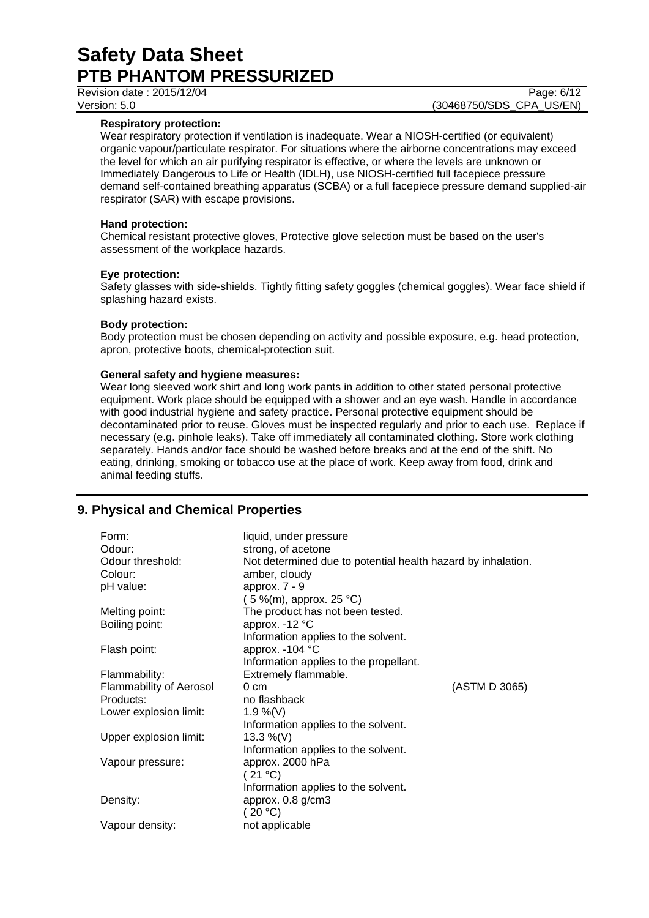Revision date : 2015/12/04 Page: 6/12

#### **Respiratory protection:**

Wear respiratory protection if ventilation is inadequate. Wear a NIOSH-certified (or equivalent) organic vapour/particulate respirator. For situations where the airborne concentrations may exceed the level for which an air purifying respirator is effective, or where the levels are unknown or Immediately Dangerous to Life or Health (IDLH), use NIOSH-certified full facepiece pressure demand self-contained breathing apparatus (SCBA) or a full facepiece pressure demand supplied-air respirator (SAR) with escape provisions.

#### **Hand protection:**

Chemical resistant protective gloves, Protective glove selection must be based on the user's assessment of the workplace hazards.

#### **Eye protection:**

Safety glasses with side-shields. Tightly fitting safety goggles (chemical goggles). Wear face shield if splashing hazard exists.

#### **Body protection:**

Body protection must be chosen depending on activity and possible exposure, e.g. head protection, apron, protective boots, chemical-protection suit.

#### **General safety and hygiene measures:**

Wear long sleeved work shirt and long work pants in addition to other stated personal protective equipment. Work place should be equipped with a shower and an eye wash. Handle in accordance with good industrial hygiene and safety practice. Personal protective equipment should be decontaminated prior to reuse. Gloves must be inspected regularly and prior to each use. Replace if necessary (e.g. pinhole leaks). Take off immediately all contaminated clothing. Store work clothing separately. Hands and/or face should be washed before breaks and at the end of the shift. No eating, drinking, smoking or tobacco use at the place of work. Keep away from food, drink and animal feeding stuffs.

# **9. Physical and Chemical Properties**

| Form:<br>liquid, under pressure<br>Odour:<br>strong, of acetone<br>Odour threshold:<br>Not determined due to potential health hazard by inhalation.<br>Colour:<br>amber, cloudy<br>approx. 7 - 9<br>pH value:<br>$(5\%$ (m), approx. 25 °C) |  |
|---------------------------------------------------------------------------------------------------------------------------------------------------------------------------------------------------------------------------------------------|--|
| Melting point:<br>The product has not been tested.                                                                                                                                                                                          |  |
| approx. -12 °C<br>Boiling point:                                                                                                                                                                                                            |  |
| Information applies to the solvent.                                                                                                                                                                                                         |  |
| approx. - 104 °C<br>Flash point:                                                                                                                                                                                                            |  |
| Information applies to the propellant.                                                                                                                                                                                                      |  |
| Flammability:<br>Extremely flammable.                                                                                                                                                                                                       |  |
| (ASTM D 3065)<br><b>Flammability of Aerosol</b><br>$0 \text{ cm}$                                                                                                                                                                           |  |
| Products:<br>no flashback                                                                                                                                                                                                                   |  |
| Lower explosion limit:<br>1.9 %(V)                                                                                                                                                                                                          |  |
| Information applies to the solvent.                                                                                                                                                                                                         |  |
| 13.3 %(V)<br>Upper explosion limit:                                                                                                                                                                                                         |  |
| Information applies to the solvent.                                                                                                                                                                                                         |  |
| approx. 2000 hPa<br>Vapour pressure:                                                                                                                                                                                                        |  |
| (21 °C)                                                                                                                                                                                                                                     |  |
| Information applies to the solvent.                                                                                                                                                                                                         |  |
| approx. 0.8 g/cm3<br>Density:                                                                                                                                                                                                               |  |
| (20 °C)                                                                                                                                                                                                                                     |  |
| Vapour density:<br>not applicable                                                                                                                                                                                                           |  |

Version: 5.0 **(30468750/SDS\_CPA\_US/EN)**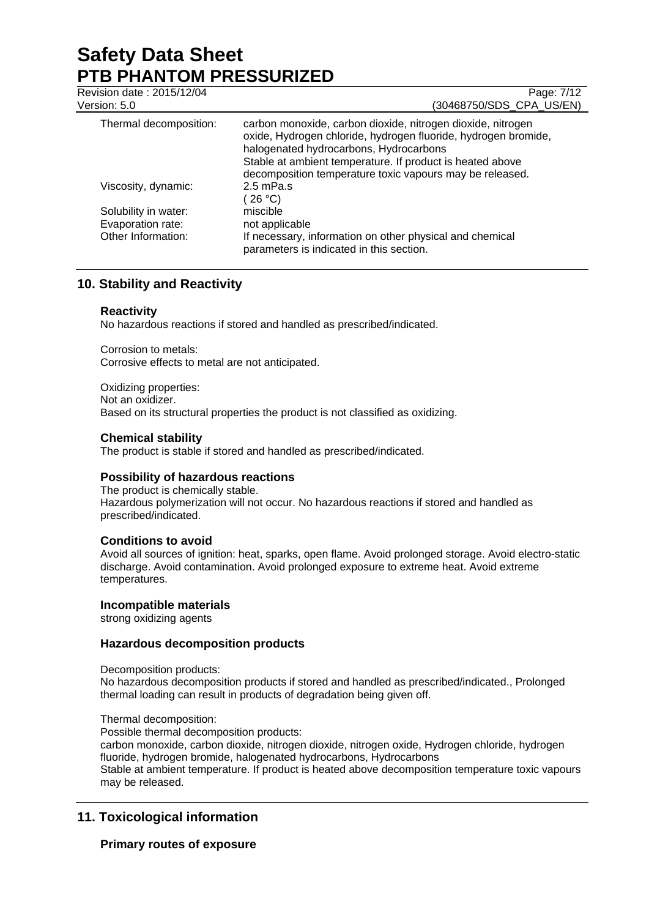| Revision date: 2015/12/04<br>Version: 5.0 | Page: 7/12<br>(30468750/SDS_CPA_US/EN)                                                                                                                                                                                                                                                           |
|-------------------------------------------|--------------------------------------------------------------------------------------------------------------------------------------------------------------------------------------------------------------------------------------------------------------------------------------------------|
| Thermal decomposition:                    | carbon monoxide, carbon dioxide, nitrogen dioxide, nitrogen<br>oxide, Hydrogen chloride, hydrogen fluoride, hydrogen bromide,<br>halogenated hydrocarbons, Hydrocarbons<br>Stable at ambient temperature. If product is heated above<br>decomposition temperature toxic vapours may be released. |
| Viscosity, dynamic:                       | $2.5$ mPa.s<br>(26 °C)                                                                                                                                                                                                                                                                           |
| Solubility in water:                      | miscible                                                                                                                                                                                                                                                                                         |
| Evaporation rate:                         | not applicable                                                                                                                                                                                                                                                                                   |
| Other Information:                        | If necessary, information on other physical and chemical<br>parameters is indicated in this section.                                                                                                                                                                                             |

# **10. Stability and Reactivity**

## **Reactivity**

No hazardous reactions if stored and handled as prescribed/indicated.

Corrosion to metals: Corrosive effects to metal are not anticipated.

Oxidizing properties: Not an oxidizer. Based on its structural properties the product is not classified as oxidizing.

## **Chemical stability**

The product is stable if stored and handled as prescribed/indicated.

#### **Possibility of hazardous reactions**

The product is chemically stable. Hazardous polymerization will not occur. No hazardous reactions if stored and handled as prescribed/indicated.

#### **Conditions to avoid**

Avoid all sources of ignition: heat, sparks, open flame. Avoid prolonged storage. Avoid electro-static discharge. Avoid contamination. Avoid prolonged exposure to extreme heat. Avoid extreme temperatures.

#### **Incompatible materials**

strong oxidizing agents

#### **Hazardous decomposition products**

Decomposition products:

No hazardous decomposition products if stored and handled as prescribed/indicated., Prolonged thermal loading can result in products of degradation being given off.

#### Thermal decomposition:

Possible thermal decomposition products:

carbon monoxide, carbon dioxide, nitrogen dioxide, nitrogen oxide, Hydrogen chloride, hydrogen fluoride, hydrogen bromide, halogenated hydrocarbons, Hydrocarbons Stable at ambient temperature. If product is heated above decomposition temperature toxic vapours may be released.

# **11. Toxicological information**

## **Primary routes of exposure**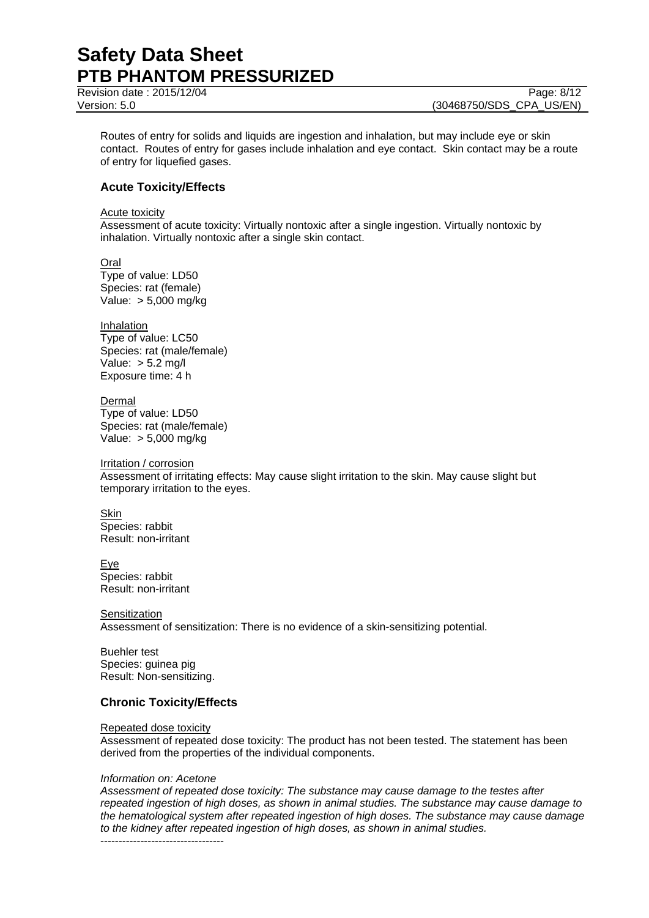Revision date : 2015/12/04 Page: 8/12

Routes of entry for solids and liquids are ingestion and inhalation, but may include eye or skin contact. Routes of entry for gases include inhalation and eye contact. Skin contact may be a route of entry for liquefied gases.

# **Acute Toxicity/Effects**

Acute toxicity

Assessment of acute toxicity: Virtually nontoxic after a single ingestion. Virtually nontoxic by inhalation. Virtually nontoxic after a single skin contact.

Oral Type of value: LD50 Species: rat (female) Value: > 5,000 mg/kg

Inhalation Type of value: LC50 Species: rat (male/female) Value: > 5.2 mg/l Exposure time: 4 h

Dermal Type of value: LD50 Species: rat (male/female) Value: > 5,000 mg/kg

Irritation / corrosion Assessment of irritating effects: May cause slight irritation to the skin. May cause slight but temporary irritation to the eyes.

**Skin** Species: rabbit Result: non-irritant

**Eye** Species: rabbit Result: non-irritant

**Sensitization** Assessment of sensitization: There is no evidence of a skin-sensitizing potential.

Buehler test Species: guinea pig Result: Non-sensitizing.

# **Chronic Toxicity/Effects**

#### Repeated dose toxicity

Assessment of repeated dose toxicity: The product has not been tested. The statement has been derived from the properties of the individual components.

#### *Information on: Acetone*

*Assessment of repeated dose toxicity: The substance may cause damage to the testes after repeated ingestion of high doses, as shown in animal studies. The substance may cause damage to the hematological system after repeated ingestion of high doses. The substance may cause damage to the kidney after repeated ingestion of high doses, as shown in animal studies.* ----------------------------------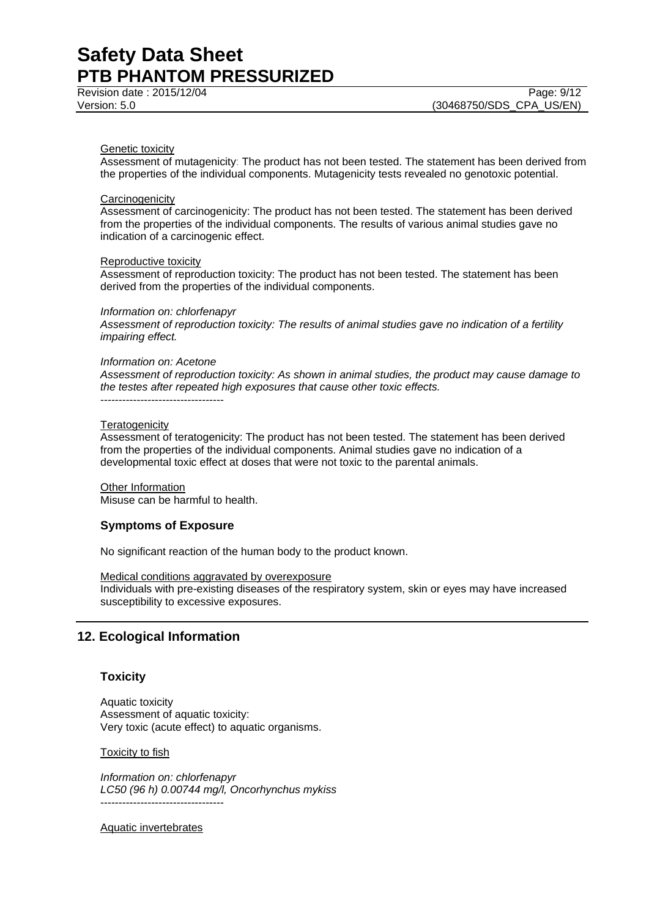#### Genetic toxicity

Assessment of mutagenicity: The product has not been tested. The statement has been derived from the properties of the individual components. Mutagenicity tests revealed no genotoxic potential.

#### **Carcinogenicity**

Assessment of carcinogenicity: The product has not been tested. The statement has been derived from the properties of the individual components. The results of various animal studies gave no indication of a carcinogenic effect.

#### Reproductive toxicity

Assessment of reproduction toxicity: The product has not been tested. The statement has been derived from the properties of the individual components.

#### *Information on: chlorfenapyr*

*Assessment of reproduction toxicity: The results of animal studies gave no indication of a fertility impairing effect.*

#### *Information on: Acetone*

*Assessment of reproduction toxicity: As shown in animal studies, the product may cause damage to the testes after repeated high exposures that cause other toxic effects.* ----------------------------------

#### **Teratogenicity**

Assessment of teratogenicity: The product has not been tested. The statement has been derived from the properties of the individual components. Animal studies gave no indication of a developmental toxic effect at doses that were not toxic to the parental animals.

Other Information Misuse can be harmful to health.

#### **Symptoms of Exposure**

No significant reaction of the human body to the product known.

#### Medical conditions aggravated by overexposure

Individuals with pre-existing diseases of the respiratory system, skin or eyes may have increased susceptibility to excessive exposures.

## **12. Ecological Information**

#### **Toxicity**

Aquatic toxicity Assessment of aquatic toxicity: Very toxic (acute effect) to aquatic organisms.

#### Toxicity to fish

*Information on: chlorfenapyr LC50 (96 h) 0.00744 mg/l, Oncorhynchus mykiss* ----------------------------------

#### Aquatic invertebrates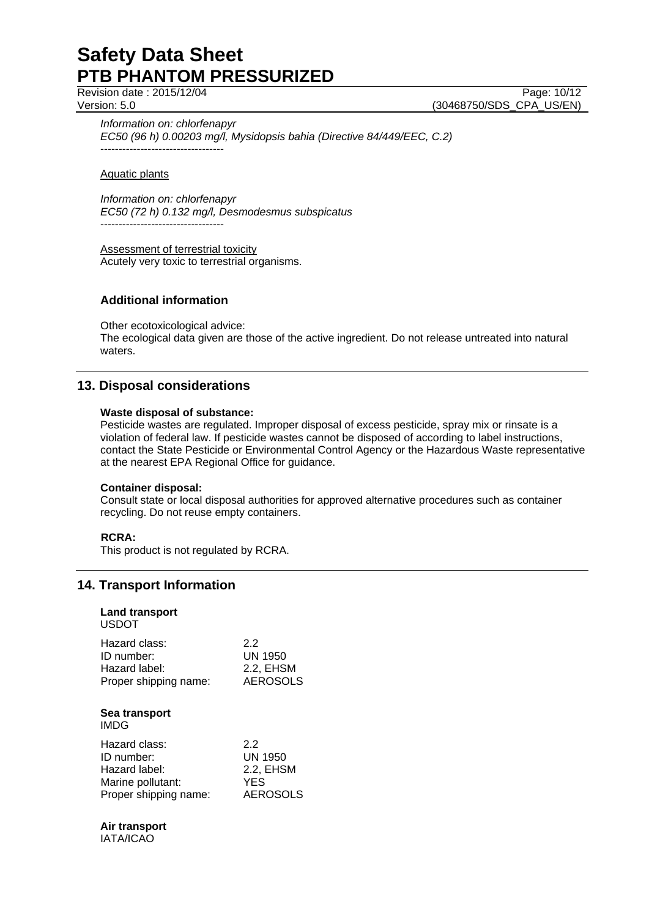Revision date : 2015/12/04 Page: 10/12

Version: 5.0 **(30468750/SDS\_CPA\_US/EN)** 

*Information on: chlorfenapyr EC50 (96 h) 0.00203 mg/l, Mysidopsis bahia (Directive 84/449/EEC, C.2)* ----------------------------------

Aquatic plants

*Information on: chlorfenapyr EC50 (72 h) 0.132 mg/l, Desmodesmus subspicatus* ----------------------------------

Assessment of terrestrial toxicity Acutely very toxic to terrestrial organisms.

# **Additional information**

Other ecotoxicological advice: The ecological data given are those of the active ingredient. Do not release untreated into natural waters.

# **13. Disposal considerations**

### **Waste disposal of substance:**

Pesticide wastes are regulated. Improper disposal of excess pesticide, spray mix or rinsate is a violation of federal law. If pesticide wastes cannot be disposed of according to label instructions, contact the State Pesticide or Environmental Control Agency or the Hazardous Waste representative at the nearest EPA Regional Office for guidance.

#### **Container disposal:**

Consult state or local disposal authorities for approved alternative procedures such as container recycling. Do not reuse empty containers.

## **RCRA:**

This product is not regulated by RCRA.

# **14. Transport Information**

| <b>Land transport</b><br><b>USDOT</b> |                 |
|---------------------------------------|-----------------|
| Hazard class:                         | 2.2             |
| ID number:                            | UN 1950         |
| Hazard label:                         | 2.2, EHSM       |
| Proper shipping name:                 | <b>AEROSOLS</b> |
| Sea transport<br><b>IMDG</b>          |                 |
| Hazard class:                         | 22              |
| ID number:                            | UN 1950         |
| Hazard label:                         | 2.2, EHSM       |
| Marine pollutant:                     | <b>YES</b>      |
| Proper shipping name:                 | AEROSOLS        |

# **Air transport**

IATA/ICAO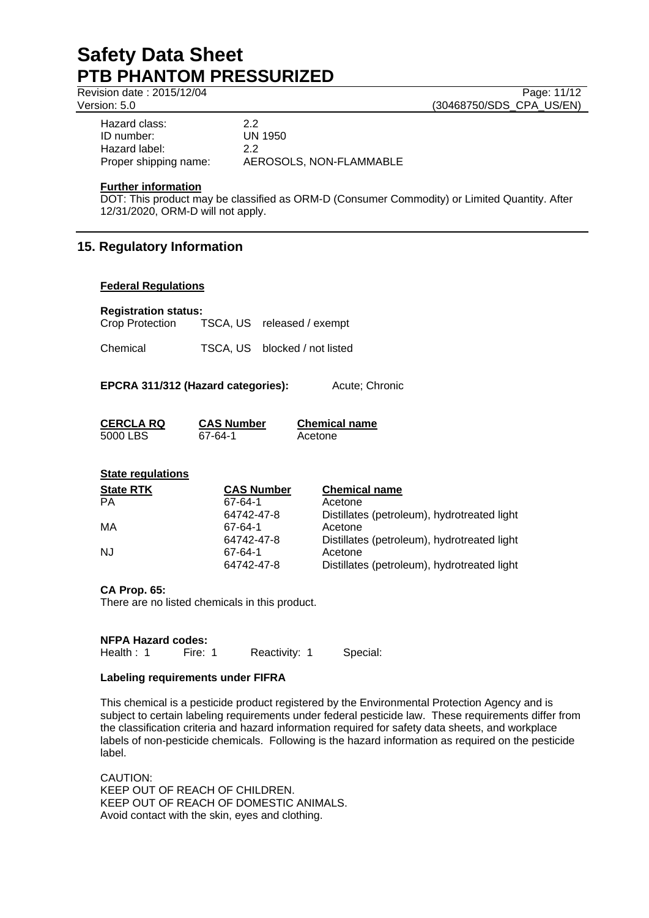Revision date : 2015/12/04 Page: 11/12

Version: 5.0 (30468750/SDS\_CPA\_US/EN)

| Hazard class:         | 22                      |
|-----------------------|-------------------------|
| ID number:            | UN 1950                 |
| Hazard label:         | 22                      |
| Proper shipping name: | AEROSOLS, NON-FLAMMABLE |

### **Further information**

DOT: This product may be classified as ORM-D (Consumer Commodity) or Limited Quantity. After 12/31/2020, ORM-D will not apply.

# **15. Regulatory Information**

### **Federal Regulations**

### **Registration status:**

| Crop Protection | TSCA, US released / exempt |
|-----------------|----------------------------|
|                 |                            |

Chemical TSCA, US blocked / not listed

**EPCRA 311/312 (Hazard categories):** Acute; Chronic

| CERCLA RQ | <b>CAS Number</b> | <b>Chemical name</b> |
|-----------|-------------------|----------------------|
| 5000 LBS  | 67-64-1           | Acetone              |

## **State regulations**

| <b>State RTK</b> | <b>CAS Number</b> | <b>Chemical name</b>                        |
|------------------|-------------------|---------------------------------------------|
| PA               | 67-64-1           | Acetone                                     |
|                  | 64742-47-8        | Distillates (petroleum), hydrotreated light |
| MA               | 67-64-1           | Acetone                                     |
|                  | 64742-47-8        | Distillates (petroleum), hydrotreated light |
| <b>NJ</b>        | 67-64-1           | Acetone                                     |
|                  | 64742-47-8        | Distillates (petroleum), hydrotreated light |

## **CA Prop. 65:**

There are no listed chemicals in this product.

#### **NFPA Hazard codes:**

Health : 1 Fire: 1 Reactivity: 1 Special:

#### **Labeling requirements under FIFRA**

This chemical is a pesticide product registered by the Environmental Protection Agency and is subject to certain labeling requirements under federal pesticide law. These requirements differ from the classification criteria and hazard information required for safety data sheets, and workplace labels of non-pesticide chemicals. Following is the hazard information as required on the pesticide label.

CAUTION: KEEP OUT OF REACH OF CHILDREN. KEEP OUT OF REACH OF DOMESTIC ANIMALS. Avoid contact with the skin, eyes and clothing.